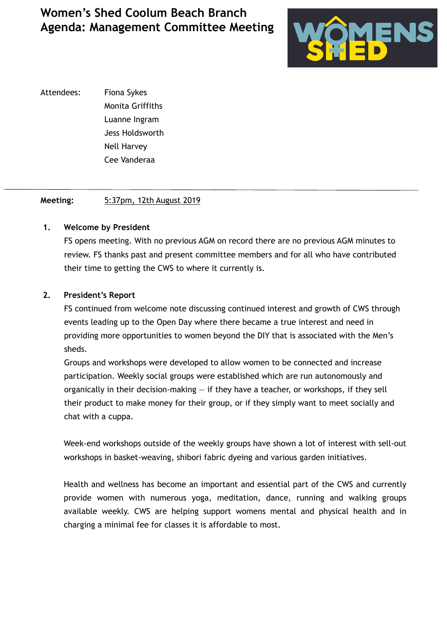

Attendees: Fiona Sykes Monita Griffiths Luanne Ingram Jess Holdsworth Nell Harvey Cee Vanderaa

## **Meeting:** 5:37pm, 12th August 2019

### **1. Welcome by President**

 FS opens meeting. With no previous AGM on record there are no previous AGM minutes to review. FS thanks past and present committee members and for all who have contributed their time to getting the CWS to where it currently is.

### **2. President's Report**

 FS continued from welcome note discussing continued interest and growth of CWS through events leading up to the Open Day where there became a true interest and need in providing more opportunities to women beyond the DIY that is associated with the Men's sheds.

 Groups and workshops were developed to allow women to be connected and increase participation. Weekly social groups were established which are run autonomously and organically in their decision-making — if they have a teacher, or workshops, if they sell their product to make money for their group, or if they simply want to meet socially and chat with a cuppa.

Week-end workshops outside of the weekly groups have shown a lot of interest with sell-out workshops in basket-weaving, shibori fabric dyeing and various garden initiatives.

Health and wellness has become an important and essential part of the CWS and currently provide women with numerous yoga, meditation, dance, running and walking groups available weekly. CWS are helping support womens mental and physical health and in charging a minimal fee for classes it is affordable to most.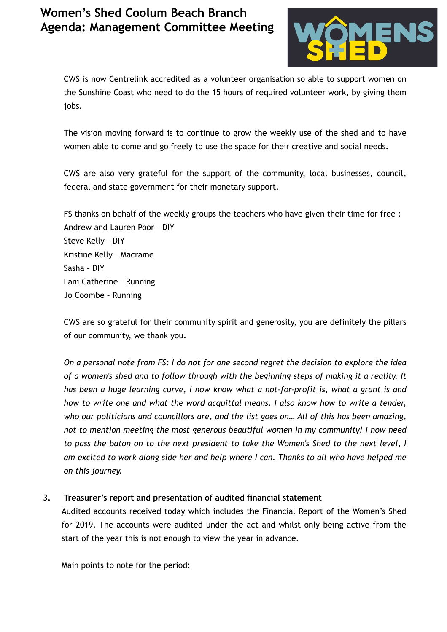

CWS is now Centrelink accredited as a volunteer organisation so able to support women on the Sunshine Coast who need to do the 15 hours of required volunteer work, by giving them jobs.

The vision moving forward is to continue to grow the weekly use of the shed and to have women able to come and go freely to use the space for their creative and social needs.

CWS are also very grateful for the support of the community, local businesses, council, federal and state government for their monetary support.

FS thanks on behalf of the weekly groups the teachers who have given their time for free : Andrew and Lauren Poor – DIY Steve Kelly – DIY Kristine Kelly – Macrame Sasha – DIY Lani Catherine – Running Jo Coombe – Running

CWS are so grateful for their community spirit and generosity, you are definitely the pillars of our community, we thank you.

*On a personal note from FS: I do not for one second regret the decision to explore the idea of a women's shed and to follow through with the beginning steps of making it a reality. It has been a huge learning curve, I now know what a not-for-profit is, what a grant is and how to write one and what the word acquittal means. I also know how to write a tender, who our politicians and councillors are, and the list goes on… All of this has been amazing, not to mention meeting the most generous beautiful women in my community! I now need to pass the baton on to the next president to take the Women's Shed to the next level, I am excited to work along side her and help where I can. Thanks to all who have helped me on this journey.*

## **3. Treasurer's report and presentation of audited financial statement**

Audited accounts received today which includes the Financial Report of the Women's Shed for 2019. The accounts were audited under the act and whilst only being active from the start of the year this is not enough to view the year in advance.

Main points to note for the period: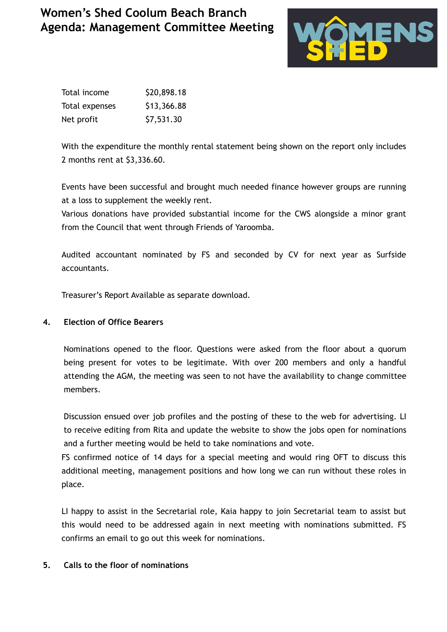

| Total income   | \$20,898.18 |
|----------------|-------------|
| Total expenses | \$13,366.88 |
| Net profit     | \$7,531.30  |

With the expenditure the monthly rental statement being shown on the report only includes 2 months rent at \$3,336.60.

Events have been successful and brought much needed finance however groups are running at a loss to supplement the weekly rent.

Various donations have provided substantial income for the CWS alongside a minor grant from the Council that went through Friends of Yaroomba.

Audited accountant nominated by FS and seconded by CV for next year as Surfside accountants.

Treasurer's Report Available as separate download.

## **4. Election of Office Bearers**

Nominations opened to the floor. Questions were asked from the floor about a quorum being present for votes to be legitimate. With over 200 members and only a handful attending the AGM, the meeting was seen to not have the availability to change committee members.

Discussion ensued over job profiles and the posting of these to the web for advertising. LI to receive editing from Rita and update the website to show the jobs open for nominations and a further meeting would be held to take nominations and vote.

FS confirmed notice of 14 days for a special meeting and would ring OFT to discuss this additional meeting, management positions and how long we can run without these roles in place.

LI happy to assist in the Secretarial role, Kaia happy to join Secretarial team to assist but this would need to be addressed again in next meeting with nominations submitted. FS confirms an email to go out this week for nominations.

## **5. Calls to the floor of nominations**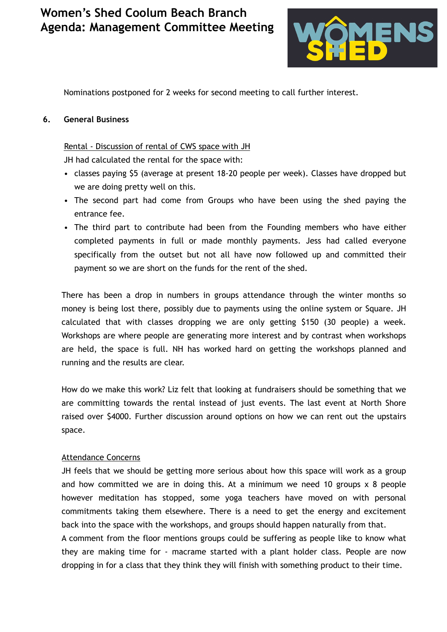

Nominations postponed for 2 weeks for second meeting to call further interest.

#### **6. General Business**

Rental - Discussion of rental of CWS space with JH

JH had calculated the rental for the space with:

- classes paying \$5 (average at present 18-20 people per week). Classes have dropped but we are doing pretty well on this.
- The second part had come from Groups who have been using the shed paying the entrance fee.
- The third part to contribute had been from the Founding members who have either completed payments in full or made monthly payments. Jess had called everyone specifically from the outset but not all have now followed up and committed their payment so we are short on the funds for the rent of the shed.

There has been a drop in numbers in groups attendance through the winter months so money is being lost there, possibly due to payments using the online system or Square. JH calculated that with classes dropping we are only getting \$150 (30 people) a week. Workshops are where people are generating more interest and by contrast when workshops are held, the space is full. NH has worked hard on getting the workshops planned and running and the results are clear.

How do we make this work? Liz felt that looking at fundraisers should be something that we are committing towards the rental instead of just events. The last event at North Shore raised over \$4000. Further discussion around options on how we can rent out the upstairs space.

## Attendance Concerns

JH feels that we should be getting more serious about how this space will work as a group and how committed we are in doing this. At a minimum we need 10 groups x 8 people however meditation has stopped, some yoga teachers have moved on with personal commitments taking them elsewhere. There is a need to get the energy and excitement back into the space with the workshops, and groups should happen naturally from that.

A comment from the floor mentions groups could be suffering as people like to know what they are making time for - macrame started with a plant holder class. People are now dropping in for a class that they think they will finish with something product to their time.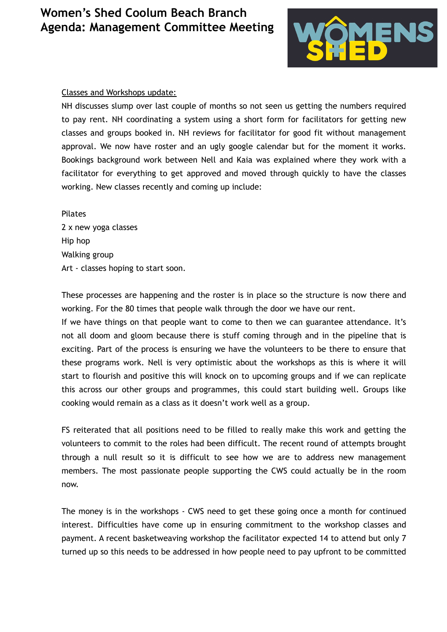

#### Classes and Workshops update:

NH discusses slump over last couple of months so not seen us getting the numbers required to pay rent. NH coordinating a system using a short form for facilitators for getting new classes and groups booked in. NH reviews for facilitator for good fit without management approval. We now have roster and an ugly google calendar but for the moment it works. Bookings background work between Nell and Kaia was explained where they work with a facilitator for everything to get approved and moved through quickly to have the classes working. New classes recently and coming up include:

Pilates 2 x new yoga classes Hip hop Walking group Art - classes hoping to start soon.

These processes are happening and the roster is in place so the structure is now there and working. For the 80 times that people walk through the door we have our rent.

If we have things on that people want to come to then we can guarantee attendance. It's not all doom and gloom because there is stuff coming through and in the pipeline that is exciting. Part of the process is ensuring we have the volunteers to be there to ensure that these programs work. Nell is very optimistic about the workshops as this is where it will start to flourish and positive this will knock on to upcoming groups and if we can replicate this across our other groups and programmes, this could start building well. Groups like cooking would remain as a class as it doesn't work well as a group.

FS reiterated that all positions need to be filled to really make this work and getting the volunteers to commit to the roles had been difficult. The recent round of attempts brought through a null result so it is difficult to see how we are to address new management members. The most passionate people supporting the CWS could actually be in the room now.

The money is in the workshops - CWS need to get these going once a month for continued interest. Difficulties have come up in ensuring commitment to the workshop classes and payment. A recent basketweaving workshop the facilitator expected 14 to attend but only 7 turned up so this needs to be addressed in how people need to pay upfront to be committed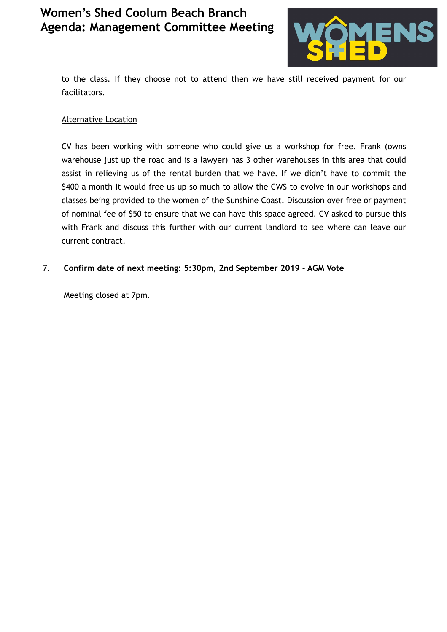

to the class. If they choose not to attend then we have still received payment for our facilitators.

### Alternative Location

CV has been working with someone who could give us a workshop for free. Frank (owns warehouse just up the road and is a lawyer) has 3 other warehouses in this area that could assist in relieving us of the rental burden that we have. If we didn't have to commit the \$400 a month it would free us up so much to allow the CWS to evolve in our workshops and classes being provided to the women of the Sunshine Coast. Discussion over free or payment of nominal fee of \$50 to ensure that we can have this space agreed. CV asked to pursue this with Frank and discuss this further with our current landlord to see where can leave our current contract.

## 7. **Confirm date of next meeting: 5:30pm, 2nd September 2019 - AGM Vote**

Meeting closed at 7pm.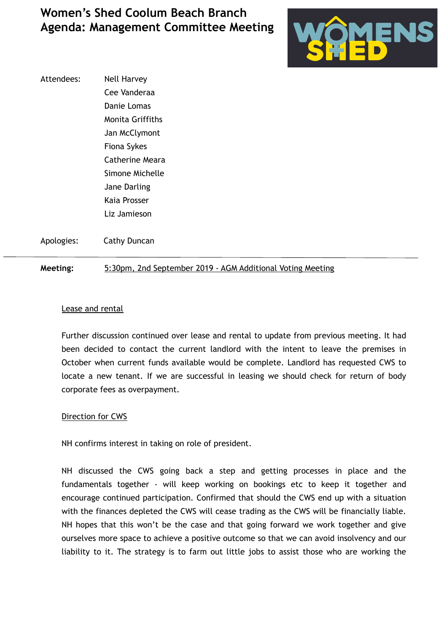

Attendees: Nell Harvey Cee Vanderaa Danie Lomas Monita Griffiths Jan McClymont Fiona Sykes Catherine Meara Simone Michelle Jane Darling Kaia Prosser Liz Jamieson

Apologies: Cathy Duncan

#### **Meeting:** 5:30pm, 2nd September 2019 - AGM Additional Voting Meeting

#### Lease and rental

Further discussion continued over lease and rental to update from previous meeting. It had been decided to contact the current landlord with the intent to leave the premises in October when current funds available would be complete. Landlord has requested CWS to locate a new tenant. If we are successful in leasing we should check for return of body corporate fees as overpayment.

#### Direction for CWS

NH confirms interest in taking on role of president.

NH discussed the CWS going back a step and getting processes in place and the fundamentals together - will keep working on bookings etc to keep it together and encourage continued participation. Confirmed that should the CWS end up with a situation with the finances depleted the CWS will cease trading as the CWS will be financially liable. NH hopes that this won't be the case and that going forward we work together and give ourselves more space to achieve a positive outcome so that we can avoid insolvency and our liability to it. The strategy is to farm out little jobs to assist those who are working the